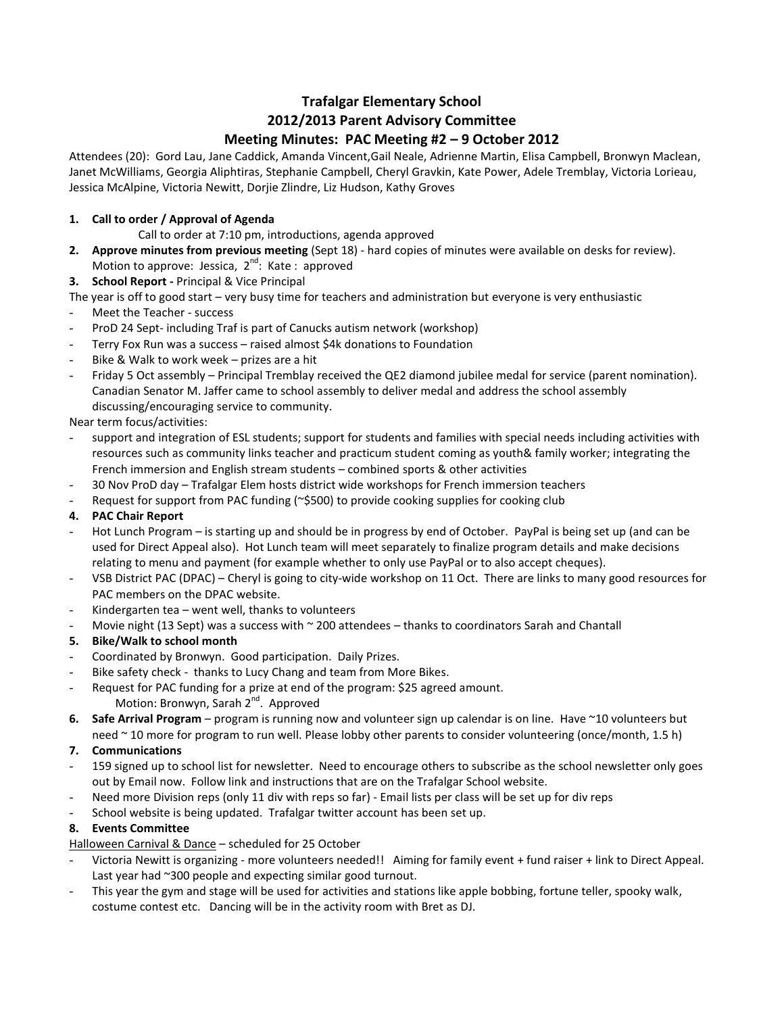# **Trafalgar Elementary School 2012/2013 Parent Advisory Committee Meeting Minutes: PAC Meeting #2 – 9 October 2012**

Attendees (20): Gord Lau, Jane Caddick, Amanda Vincent,Gail Neale, Adrienne Martin, Elisa Campbell, Bronwyn Maclean, Janet McWilliams, Georgia Aliphtiras, Stephanie Campbell, Cheryl Gravkin, Kate Power, Adele Tremblay, Victoria Lorieau, Jessica McAlpine, Victoria Newitt, Dorjie Zlindre, Liz Hudson, Kathy Groves

# **1. Call to order / Approval of Agenda**

Call to order at 7:10 pm, introductions, agenda approved

- **2. Approve minutes from previous meeting** (Sept 18) hard copies of minutes were available on desks for review). Motion to approve: Jessica,  $2^{nd}$ : Kate : approved
- **3. School Report -** Principal & Vice Principal

The year is off to good start – very busy time for teachers and administration but everyone is very enthusiastic

- Meet the Teacher success
- ProD 24 Sept- including Traf is part of Canucks autism network (workshop)
- Terry Fox Run was a success raised almost \$4k donations to Foundation
- Bike & Walk to work week prizes are a hit
- Friday 5 Oct assembly Principal Tremblay received the QE2 diamond jubilee medal for service (parent nomination). Canadian Senator M. Jaffer came to school assembly to deliver medal and address the school assembly discussing/encouraging service to community.

Near term focus/activities:

- support and integration of ESL students; support for students and families with special needs including activities with resources such as community links teacher and practicum student coming as youth& family worker; integrating the French immersion and English stream students – combined sports & other activities
- 30 Nov ProD day Trafalgar Elem hosts district wide workshops for French immersion teachers
- Request for support from PAC funding (~\$500) to provide cooking supplies for cooking club

# **4. PAC Chair Report**

- Hot Lunch Program is starting up and should be in progress by end of October. PayPal is being set up (and can be used for Direct Appeal also). Hot Lunch team will meet separately to finalize program details and make decisions relating to menu and payment (for example whether to only use PayPal or to also accept cheques).
- VSB District PAC (DPAC) Cheryl is going to city-wide workshop on 11 Oct. There are links to many good resources for PAC members on the DPAC website.
- Kindergarten tea went well, thanks to volunteers
- Movie night (13 Sept) was a success with  $\sim$  200 attendees thanks to coordinators Sarah and Chantall

# **5. Bike/Walk to school month**

- Coordinated by Bronwyn. Good participation. Daily Prizes.
- Bike safety check thanks to Lucy Chang and team from More Bikes.
- Request for PAC funding for a prize at end of the program: \$25 agreed amount. Motion: Bronwyn, Sarah 2<sup>nd</sup>. Approved
- **6. Safe Arrival Program** program is running now and volunteer sign up calendar is on line. Have ~10 volunteers but need ~10 more for program to run well. Please lobby other parents to consider volunteering (once/month, 1.5 h)

## **7. Communications**

- 159 signed up to school list for newsletter. Need to encourage others to subscribe as the school newsletter only goes out by Email now. Follow link and instructions that are on the Trafalgar School website.
- Need more Division reps (only 11 div with reps so far) Email lists per class will be set up for div reps
- School website is being updated. Trafalgar twitter account has been set up.

## **8. Events Committee**

Halloween Carnival & Dance – scheduled for 25 October

- Victoria Newitt is organizing more volunteers needed!! Aiming for family event + fund raiser + link to Direct Appeal. Last year had ~300 people and expecting similar good turnout.
- This year the gym and stage will be used for activities and stations like apple bobbing, fortune teller, spooky walk, costume contest etc. Dancing will be in the activity room with Bret as DJ.